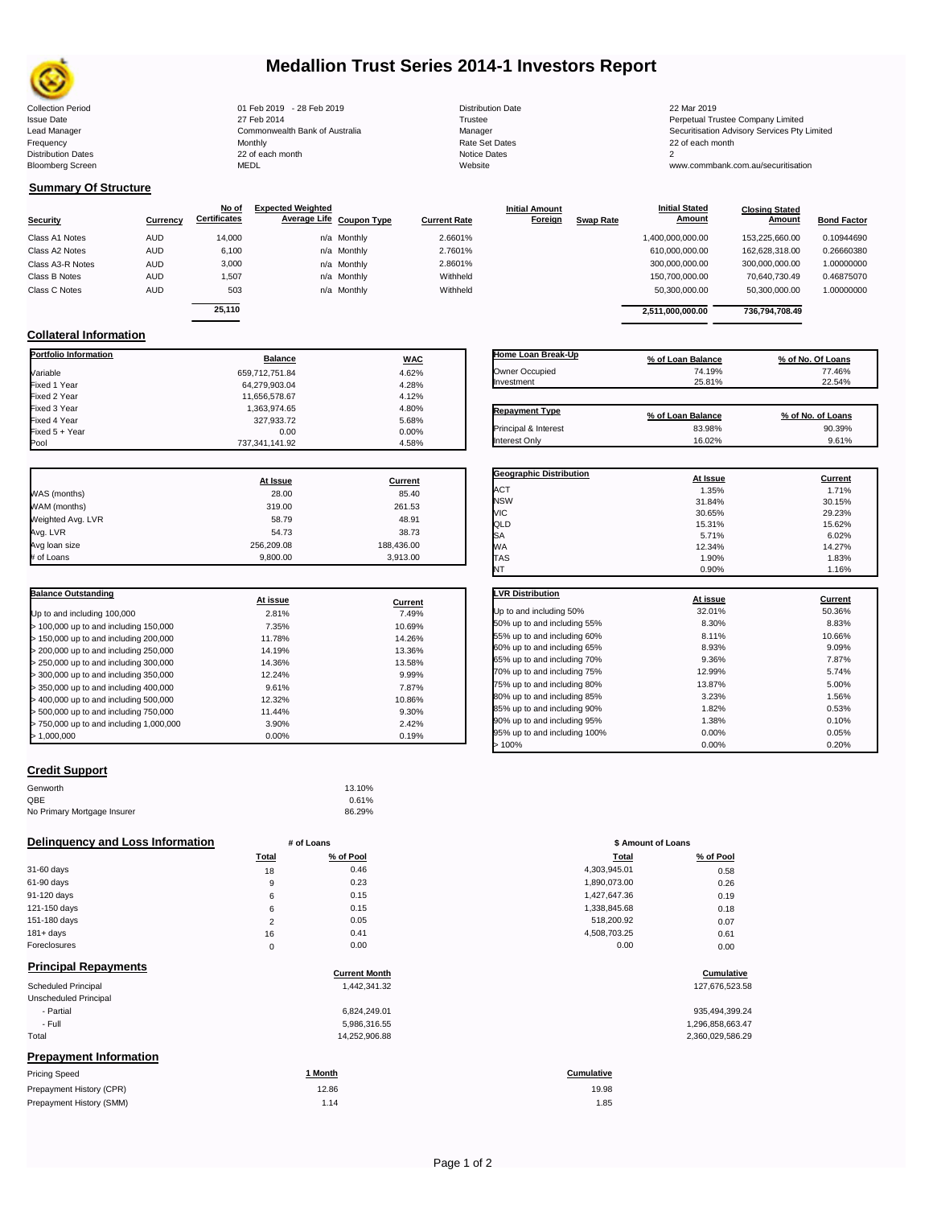

### **Medallion Trust Series 2014-1 Investors Report**

| <b>Collection Period</b>  | 01 Feb 2019 - 28 Feb 2019      | <b>Distribution Date</b> | 22 Mar 2019                                  |
|---------------------------|--------------------------------|--------------------------|----------------------------------------------|
| <b>Issue Date</b>         | 27 Feb 2014                    | Trustee                  | Perpetual Trustee Company Limited            |
| Lead Manager              | Commonwealth Bank of Australia | Manager                  | Securitisation Advisory Services Pty Limited |
| Frequency                 | Monthly                        | Rate Set Dates           | 22 of each month                             |
| <b>Distribution Dates</b> | 22 of each month               | Notice Dates             |                                              |
| <b>Bloomberg Screen</b>   | MEDL                           | Website                  | www.commbank.com.au/securitisation           |
|                           |                                |                          |                                              |

| 2019 - 28 Feb 2019         |  |
|----------------------------|--|
| 2014                       |  |
| onwealth Bank of Australia |  |
|                            |  |
| ach month                  |  |
|                            |  |
|                            |  |

Fixed 327,933.72<br>0.00 5.68%<br>0.00 0.00%

**Initial Amount** 

**Closing Stated Amount**

### **Summary Of Structure**

**Collateral Information**

|                  |            | No of               | <b>Expected Weighted</b> |                     | <b>Initial Amount</b> |                  | <b>Initial Stated</b> | <b>Closing Stated</b> |                    |
|------------------|------------|---------------------|--------------------------|---------------------|-----------------------|------------------|-----------------------|-----------------------|--------------------|
| <b>Security</b>  | Currency   | <b>Certificates</b> | Average Life Coupon Type | <b>Current Rate</b> | Foreign               | <b>Swap Rate</b> | <b>Amount</b>         | Amount                | <b>Bond Factor</b> |
| Class A1 Notes   | <b>AUD</b> | 14.000              | n/a Monthly              | 2.6601%             |                       |                  | 1,400,000,000.00      | 153.225.660.00        | 0.10944690         |
| Class A2 Notes   | <b>AUD</b> | 6,100               | n/a Monthly              | 2.7601%             |                       |                  | 610.000.000.00        | 162.628.318.00        | 0.26660380         |
| Class A3-R Notes | <b>AUD</b> | 3,000               | n/a Monthly              | 2.8601%             |                       |                  | 300,000,000.00        | 300.000.000.00        | 1.00000000         |
| Class B Notes    | <b>AUD</b> | 1.507               | n/a Monthly              | Withheld            |                       |                  | 150.700.000.00        | 70.640.730.49         | 0.46875070         |
| Class C Notes    | <b>AUD</b> | 503                 | n/a Monthly              | Withheld            |                       |                  | 50,300,000.00         | 50,300,000.00         | 1.00000000         |
|                  |            | 25.110              |                          |                     |                       |                  | 2,511,000,000.00      | 736.794.708.49        |                    |

**Portfolio Information Balance WAC** Variable 659,712,751.84 4.62% Fixed 1 Year 64,279,903.04 4.28% Fixed 2 Year 11,656,578.67 4.12% 4.12% 4.12% 4.12% 4.12% 4.12% 4.12% 4.12% 4.12% 4.12% 4.80% 4.80% 4.80% 4.80% Fixed 3 Year 1,363,974.65 4.80%<br>Fixed 4 Year 1,200 4.80% 4.80% 4.80% 4.80% 4.80% 4.80% 4.80% 4.80% 4.80% 4.80%

Fixed 5 + Year 0.00 0.00%

737,341,141.92

| Home Loan Break-Up    | % of Loan Balance | % of No. Of Loans |
|-----------------------|-------------------|-------------------|
| Owner Occupied        | 74.19%            | 77.46%            |
| Investment            | 25.81%            | 22.54%            |
| <b>Repayment Type</b> | % of Loan Balance | % of No. of Loans |
| Principal & Interest  | 83.98%            | 90.39%            |
| Interest Only         | 16.02%            | 9.61%             |

**Initial Stated** 

|                   | At Issue   | Current    |
|-------------------|------------|------------|
| WAS (months)      | 28.00      | 85.40      |
| WAM (months)      | 319.00     | 261.53     |
| Weighted Avg. LVR | 58.79      | 48.91      |
| Avg. LVR          | 54.73      | 38.73      |
| Avg loan size     | 256,209.08 | 188,436.00 |
| # of Loans        | 9,800.00   | 3,913.00   |

| <b>Balance Outstanding</b>              | At issue | Current |
|-----------------------------------------|----------|---------|
| Up to and including 100,000             | 2.81%    | 7.49%   |
| $>$ 100,000 up to and including 150,000 | 7.35%    | 10.69%  |
| $>$ 150,000 up to and including 200,000 | 11.78%   | 14.26%  |
| > 200,000 up to and including 250,000   | 14.19%   | 13.36%  |
| > 250,000 up to and including 300,000   | 14.36%   | 13.58%  |
| > 300,000 up to and including 350,000   | 12.24%   | 9.99%   |
| $>$ 350,000 up to and including 400,000 | 9.61%    | 7.87%   |
| $>$ 400,000 up to and including 500,000 | 12.32%   | 10.86%  |
| > 500,000 up to and including 750,000   | 11.44%   | 9.30%   |
| > 750,000 up to and including 1,000,000 | 3.90%    | 2.42%   |
| > 1.000.000                             | 0.00%    | 0.19%   |

### **Credit Support**

| Genworth                    | 13.10% |
|-----------------------------|--------|
| QBE                         | 0.61%  |
| No Primary Mortgage Insurer | 86.29% |

### **Delinquency and Loss Information # of Loans**

|                             | Total | % of Pool          | Total        | % of Pool          |
|-----------------------------|-------|--------------------|--------------|--------------------|
| 31-60 days                  | 18    | 0.46               | 4,303,945.01 | 0.58               |
| 61-90 days                  | 9     | 0.23               | 1,890,073.00 | 0.26               |
| 91-120 days                 | 6     | 0.15               | 1,427,647.36 | 0.19               |
| 121-150 days                | 6     | 0.15               | 1,338,845.68 | 0.18               |
| 151-180 days                | 2     | 0.05               | 518,200.92   | 0.07               |
| $181 + days$                | 16    | 0.41               | 4,508,703.25 | 0.61               |
| Foreclosures                | 0     | 0.00               | 0.00         | 0.00               |
| <b>Principal Repayments</b> |       | Concerted March 1. |              | $P_1, \ldots, P_n$ |

|                               | <b>Current Month</b> | Cumulative       |
|-------------------------------|----------------------|------------------|
| <b>Scheduled Principal</b>    | 1.442.341.32         | 127,676,523.58   |
| Unscheduled Principal         |                      |                  |
| - Partial                     | 6.824.249.01         | 935,494,399.24   |
| - Full                        | 5,986,316.55         | 1,296,858,663.47 |
| Total                         | 14.252.906.88        | 2,360,029,586.29 |
| <b>Prepayment Information</b> |                      |                  |

| <b>Pricing Speed</b>     | Month | <b>Cumulative</b> |
|--------------------------|-------|-------------------|
| Prepayment History (CPR) | 12.86 | 19.98             |
| Prepayment History (SMM) | 1.14  | 1.85              |
|                          |       |                   |

| <b>Geographic Distribution</b> | At Issue | Current |
|--------------------------------|----------|---------|
| ACT                            | 1.35%    | 1.71%   |
| <b>NSW</b>                     | 31.84%   | 30.15%  |
| VIC                            | 30.65%   | 29.23%  |
| QLD                            | 15.31%   | 15.62%  |
| SA                             | 5.71%    | 6.02%   |
| <b>WA</b>                      | 12.34%   | 14.27%  |
| <b>TAS</b>                     | 1.90%    | 1.83%   |
| NT                             | 0.90%    | 1.16%   |
| <b>LVR Distribution</b>        | At issue | Current |
| Up to and including 50%        | 32.01%   | 50.36%  |
| 50% up to and including 55%    | 8.30%    | 8.83%   |
| 55% up to and including 60%    | 8.11%    | 10.66%  |
| 60% up to and including 65%    | 8.93%    | 9.09%   |
| 65% up to and including 70%    | 9.36%    | 787%    |

| 60% up to and including 65%  | 8.93%  | 9.09% |
|------------------------------|--------|-------|
| 65% up to and including 70%  | 9.36%  | 7.87% |
| 70% up to and including 75%  | 12.99% | 5.74% |
| 75% up to and including 80%  | 13.87% | 5.00% |
| 80% up to and including 85%  | 3.23%  | 1.56% |
| 85% up to and including 90%  | 1.82%  | 0.53% |
| 90% up to and including 95%  | 1.38%  | 0.10% |
| 95% up to and including 100% | 0.00%  | 0.05% |
| >100%                        | 0.00%  | 0.20% |

| # of Loans     |           | \$ Amount of Loans |           |  |
|----------------|-----------|--------------------|-----------|--|
| Total          | % of Pool | Total              | % of Pool |  |
| 18             | 0.46      | 4,303,945.01       | 0.58      |  |
| 9              | 0.23      | 1,890,073.00       | 0.26      |  |
| 6              | 0.15      | 1,427,647.36       | 0.19      |  |
| 6              | 0.15      | 1,338,845.68       | 0.18      |  |
| $\overline{2}$ | 0.05      | 518,200.92         | 0.07      |  |
| 16             | 0.41      | 4,508,703.25       | 0.61      |  |
| $\mathbf 0$    | 0.00      | 0.00               | 0.00      |  |

## **Current Month Cumulative**

| 935,494,399.24   |
|------------------|
| 1,296,858,663.47 |
| 2,360,029,586.29 |

19.98